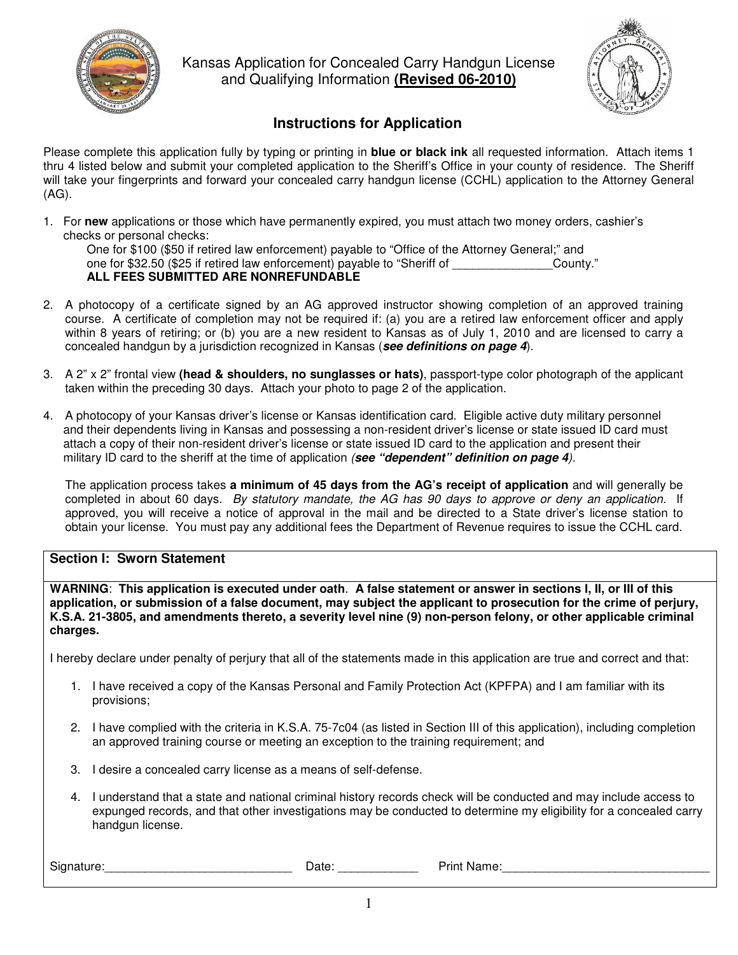

Kansas Application for Concealed Carry Handgun License and Qualifying Information **(Revised 06-2010)**



# **Instructions for Application**

Please complete this application fully by typing or printing in **blue or black ink** all requested information. Attach items 1 thru 4 listed below and submit your completed application to the Sheriff's Office in your county of residence. The Sheriff will take your fingerprints and forward your concealed carry handgun license (CCHL) application to the Attorney General (AG).

1. For **new** applications or those which have permanently expired, you must attach two money orders, cashier's checks or personal checks:

One for \$100 (\$50 if retired law enforcement) payable to "Office of the Attorney General;" and one for \$32.50 (\$25 if retired law enforcement) payable to "Sheriff of \_\_\_\_\_\_\_\_\_\_\_\_\_\_\_County." **ALL FEES SUBMITTED ARE NONREFUNDABLE**

- 2. A photocopy of a certificate signed by an AG approved instructor showing completion of an approved training course. A certificate of completion may not be required if: (a) you are a retired law enforcement officer and apply within 8 years of retiring; or (b) you are a new resident to Kansas as of July 1, 2010 and are licensed to carry a concealed handgun by a jurisdiction recognized in Kansas (*see definitions on page 4*).
- 3. A 2" x 2" frontal view **(head & shoulders, no sunglasses or hats)**, passport-type color photograph of the applicant taken within the preceding 30 days. Attach your photo to page 2 of the application.
- 4. A photocopy of your Kansas driver's license or Kansas identification card. Eligible active duty military personnel and their dependents living in Kansas and possessing a non-resident driver's license or state issued ID card must attach a copy of their non-resident driver's license or state issued ID card to the application and present their military ID card to the sheriff at the time of application *(see "dependent" definition on page 4).*

The application process takes **a minimum of 45 days from the AG's receipt of application** and will generally be completed in about 60 days. *By statutory mandate, the AG has 90 days to approve or deny an application.* If approved, you will receive a notice of approval in the mail and be directed to a State driver's license station to obtain your license. You must pay any additional fees the Department of Revenue requires to issue the CCHL card.

## **Section I: Sworn Statement**

WARNING: This application is executed under oath. A false statement or answer in sections I, II, or III of this application, or submission of a false document, may subject the applicant to prosecution for the crime of perjury, K.S.A. 21-3805, and amendments thereto, a severity level nine (9) non-person felony, or other applicable criminal **charges.**

I hereby declare under penalty of perjury that all of the statements made in this application are true and correct and that:

- 1. I have received a copy of the Kansas Personal and Family Protection Act (KPFPA) and I am familiar with its provisions;
- 2. I have complied with the criteria in K.S.A. 75-7c04 (as listed in Section III of this application), including completion an approved training course or meeting an exception to the training requirement; and
- 3. I desire a concealed carry license as a means of self-defense.
- 4. I understand that a state and national criminal history records check will be conducted and may include access to expunged records, and that other investigations may be conducted to determine my eligibility for a concealed carry handgun license.

| $\sim$<br>$-100$<br>.<br>$\blacksquare$<br>. זור | 1 I F<br>,,<br>- - - | ю<br>7 I I I<br>העי |
|--------------------------------------------------|----------------------|---------------------|
|                                                  |                      |                     |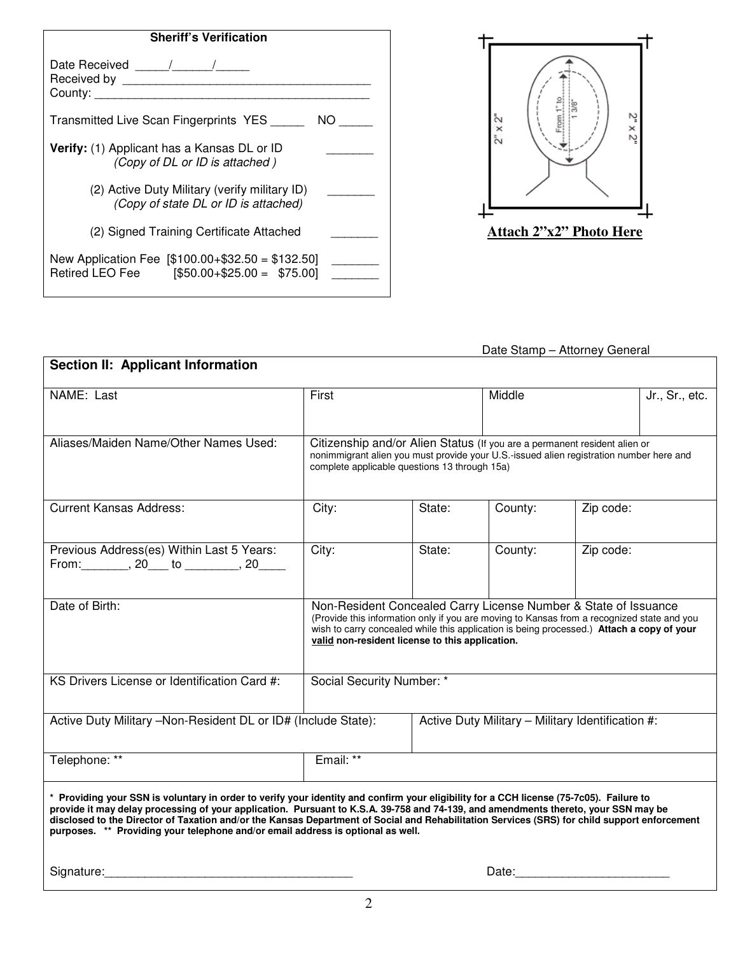| <b>Sheriff's Verification</b>                                                                   |  |  |
|-------------------------------------------------------------------------------------------------|--|--|
| County:                                                                                         |  |  |
| Transmitted Live Scan Fingerprints YES<br>NO.                                                   |  |  |
| Verify: (1) Applicant has a Kansas DL or ID<br>(Copy of DL or ID is attached)                   |  |  |
| (2) Active Duty Military (verify military ID)<br>(Copy of state DL or ID is attached)           |  |  |
| (2) Signed Training Certificate Attached                                                        |  |  |
| New Application Fee $[$100.00+$32.50 = $132.50]$<br>Retired LEO Fee [\$50.00+\$25.00 = \$75.00] |  |  |



Date Stamp – Attorney General **Section II: Applicant Information** NAME: Last | First | Middle | Jr., Sr., etc. Aliases/Maiden Name/Other Names Used: | Citizenship and/or Alien Status (If you are a permanent resident alien or nonimmigrant alien you must provide your U.S.-issued alien registration number here and complete applicable questions 13 through 15a) Current Kansas Address: City: State: County: Zip code: Previous Address(es) Within Last 5 Years: From: \_\_\_\_\_\_\_, 20\_\_\_ to \_\_\_\_\_\_\_\_, 20\_\_\_\_\_ City: | State: | County: | Zip code: Date of Birth: Non-Resident Concealed Carry License Number & State of Issuance (Provide this information only if you are moving to Kansas from a recognized state and you wish to carry concealed while this application is being processed.) **Attach a copy of your valid non-resident license to this application.** KS Drivers License or Identification Card #: | Social Security Number: \* Active Duty Military –Non-Resident DL or ID# (Include State): | Active Duty Military – Military Identification #: Telephone: \*\* Felephone: \*\* Felephone: \*\* Felephone: \*\* Felephone: \*\* \* Providing your SSN is voluntary in order to verify your identity and confirm your eligibility for a CCH license (75-7c05). Failure to provide it may delay processing of your application. Pursuant to K.S.A. 39-758 and 74-139, and amendments thereto, your SSN may be disclosed to the Director of Taxation and/or the Kansas Department of Social and Rehabilitation Services (SRS) for child support enforcement **purposes. \*\* Providing your telephone and/or email address is optional as well.**

Signature:\_\_\_\_\_\_\_\_\_\_\_\_\_\_\_\_\_\_\_\_\_\_\_\_\_\_\_\_\_\_\_\_\_\_\_\_\_ Date:\_\_\_\_\_\_\_\_\_\_\_\_\_\_\_\_\_\_\_\_\_\_\_

2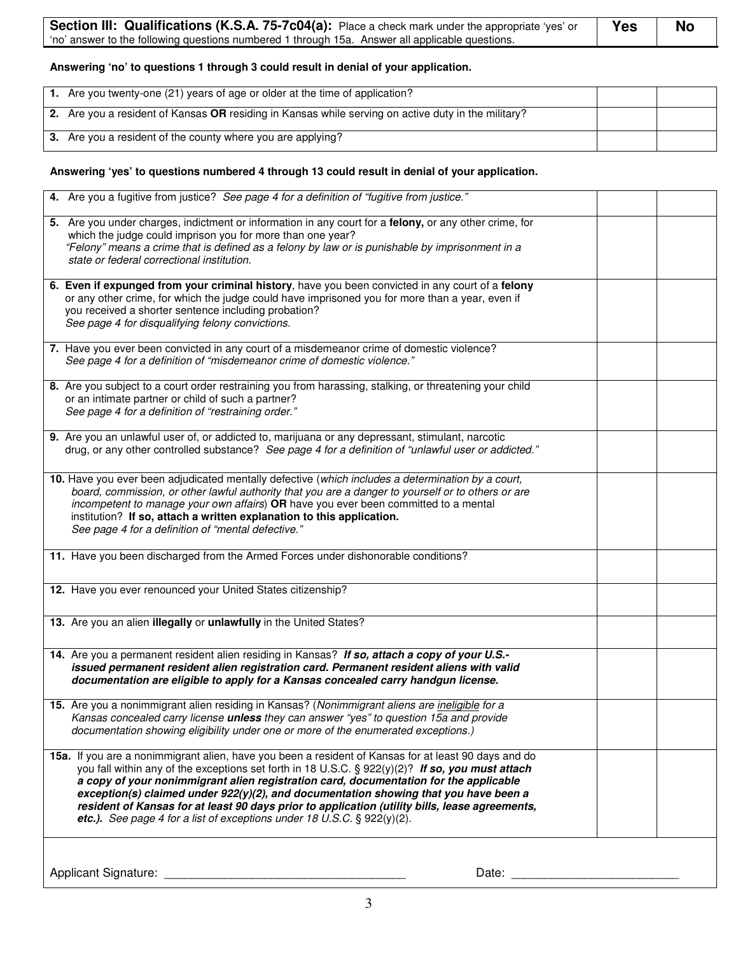| Section III: Qualifications (K.S.A. 75-7c04(a): Place a check mark under the appropriate 'yes' or | Yes | No |
|---------------------------------------------------------------------------------------------------|-----|----|
| 'no' answer to the following questions numbered 1 through 15a. Answer all applicable questions.   |     |    |

#### **Answering 'no' to questions 1 through 3 could result in denial of your application.**

| 1. Are you twenty-one (21) years of age or older at the time of application?                        |  |
|-----------------------------------------------------------------------------------------------------|--|
| 2. Are you a resident of Kansas OR residing in Kansas while serving on active duty in the military? |  |
| 3. Are you a resident of the county where you are applying?                                         |  |

## **Answering 'yes' to questions numbered 4 through 13 could result in denial of your application.**

| 4. Are you a fugitive from justice? See page 4 for a definition of "fugitive from justice."                                                                                                                                                                                                                                                                                                                                                                                                                                                                                  |  |
|------------------------------------------------------------------------------------------------------------------------------------------------------------------------------------------------------------------------------------------------------------------------------------------------------------------------------------------------------------------------------------------------------------------------------------------------------------------------------------------------------------------------------------------------------------------------------|--|
| 5. Are you under charges, indictment or information in any court for a felony, or any other crime, for<br>which the judge could imprison you for more than one year?<br>"Felony" means a crime that is defined as a felony by law or is punishable by imprisonment in a<br>state or federal correctional institution.                                                                                                                                                                                                                                                        |  |
| 6. Even if expunged from your criminal history, have you been convicted in any court of a felony<br>or any other crime, for which the judge could have imprisoned you for more than a year, even if<br>you received a shorter sentence including probation?<br>See page 4 for disqualifying felony convictions.                                                                                                                                                                                                                                                              |  |
| 7. Have you ever been convicted in any court of a misdemeanor crime of domestic violence?<br>See page 4 for a definition of "misdemeanor crime of domestic violence."                                                                                                                                                                                                                                                                                                                                                                                                        |  |
| 8. Are you subject to a court order restraining you from harassing, stalking, or threatening your child<br>or an intimate partner or child of such a partner?<br>See page 4 for a definition of "restraining order."                                                                                                                                                                                                                                                                                                                                                         |  |
| 9. Are you an unlawful user of, or addicted to, marijuana or any depressant, stimulant, narcotic<br>drug, or any other controlled substance? See page 4 for a definition of "unlawful user or addicted."                                                                                                                                                                                                                                                                                                                                                                     |  |
| 10. Have you ever been adjudicated mentally defective (which includes a determination by a court,<br>board, commission, or other lawful authority that you are a danger to yourself or to others or are<br>incompetent to manage your own affairs) OR have you ever been committed to a mental<br>institution? If so, attach a written explanation to this application.<br>See page 4 for a definition of "mental defective."                                                                                                                                                |  |
| 11. Have you been discharged from the Armed Forces under dishonorable conditions?                                                                                                                                                                                                                                                                                                                                                                                                                                                                                            |  |
| 12. Have you ever renounced your United States citizenship?                                                                                                                                                                                                                                                                                                                                                                                                                                                                                                                  |  |
| 13. Are you an alien illegally or unlawfully in the United States?                                                                                                                                                                                                                                                                                                                                                                                                                                                                                                           |  |
| 14. Are you a permanent resident alien residing in Kansas? If so, attach a copy of your U.S.-<br>issued permanent resident alien registration card. Permanent resident aliens with valid<br>documentation are eligible to apply for a Kansas concealed carry handgun license.                                                                                                                                                                                                                                                                                                |  |
| 15. Are you a nonimmigrant alien residing in Kansas? (Nonimmigrant aliens are <i>ineligible for a</i><br>Kansas concealed carry license unless they can answer "yes" to question 15a and provide<br>documentation showing eligibility under one or more of the enumerated exceptions.)                                                                                                                                                                                                                                                                                       |  |
| 15a. If you are a nonimmigrant alien, have you been a resident of Kansas for at least 90 days and do<br>you fall within any of the exceptions set forth in 18 U.S.C. § 922(y)(2)? If so, you must attach<br>a copy of your nonimmigrant alien registration card, documentation for the applicable<br>exception(s) claimed under $922(y)(2)$ , and documentation showing that you have been a<br>resident of Kansas for at least 90 days prior to application (utility bills, lease agreements,<br>etc.). See page 4 for a list of exceptions under 18 U.S.C. $\S$ 922(y)(2). |  |
| <b>Applicant Signature:</b><br>Date:                                                                                                                                                                                                                                                                                                                                                                                                                                                                                                                                         |  |